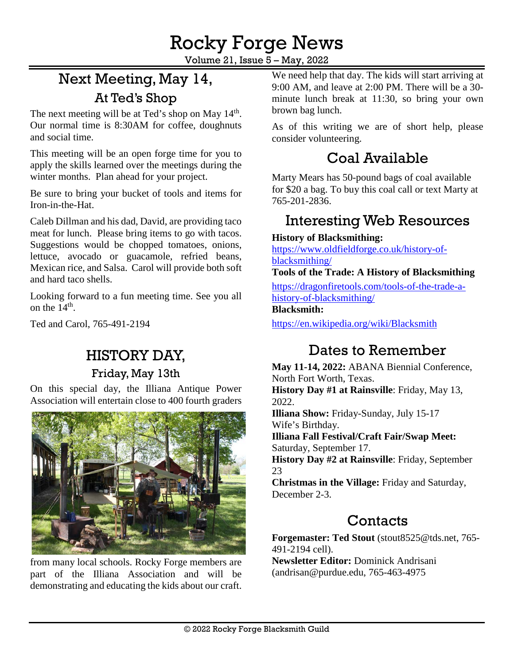Volume 21, Issue 5 – May, 2022

# Next Meeting, May 14, At Ted's Shop

The next meeting will be at Ted's shop on May 14<sup>th</sup>. Our normal time is 8:30AM for coffee, doughnuts and social time.

This meeting will be an open forge time for you to apply the skills learned over the meetings during the winter months. Plan ahead for your project.

Be sure to bring your bucket of tools and items for Iron-in-the-Hat.

Caleb Dillman and his dad, David, are providing taco meat for lunch. Please bring items to go with tacos. Suggestions would be chopped tomatoes, onions, lettuce, avocado or guacamole, refried beans, Mexican rice, and Salsa. Carol will provide both soft and hard taco shells.

Looking forward to a fun meeting time. See you all on the  $14<sup>th</sup>$ .

Ted and Carol, [765-491-2194](tel:765-491-2194)

### HISTORY DAY,

Friday, May 13th

On this special day, the Illiana Antique Power Association will entertain close to 400 fourth graders



from many local schools. Rocky Forge members are part of the Illiana Association and will be demonstrating and educating the kids about our craft.

We need help that day. The kids will start arriving at 9:00 AM, and leave at 2:00 PM. There will be a 30 minute lunch break at 11:30, so bring your own brown bag lunch.

As of this writing we are of short help, please consider volunteering.

# Coal Available

Marty Mears has 50-pound bags of coal available for \$20 a bag. To buy this coal call or text Marty at 765-201-2836.

## Interesting Web Resources

#### **History of Blacksmithing:**

[https://www.oldfieldforge.co.uk/history-of](https://dragonfiretools.com/tools-of-the-trade-a-history-of-blacksmithing/)[blacksmithing/](https://dragonfiretools.com/tools-of-the-trade-a-history-of-blacksmithing/)

**Tools of the Trade: A History of Blacksmithing**

[https://dragonfiretools.com/tools-of-the-trade-a](https://dragonfiretools.com/tools-of-the-trade-a-history-of-blacksmithing/)[history-of-blacksmithing/](https://dragonfiretools.com/tools-of-the-trade-a-history-of-blacksmithing/)

#### **Blacksmith:**

<https://en.wikipedia.org/wiki/Blacksmith>

## Dates to Remember

**May 11-14, 2022:** ABANA Biennial Conference, North Fort Worth, Texas. **History Day #1 at Rainsville**: Friday, May 13, 2022.

**Illiana Show:** Friday-Sunday, July 15-17 Wife's Birthday.

**Illiana Fall Festival/Craft Fair/Swap Meet:** Saturday, September 17.

**History Day #2 at Rainsville**: Friday, September 23

**Christmas in the Village:** Friday and Saturday, December 2-3.

## **Contacts**

**Forgemaster: Ted Stout** [\(stout8525@tds.net,](mailto:stout8525@tds.net) 765- 491-2194 cell).

**Newsletter Editor:** Dominick Andrisani [\(andrisan@purdue.edu,](mailto:andrisan@purdue.edu) 765-463-4975